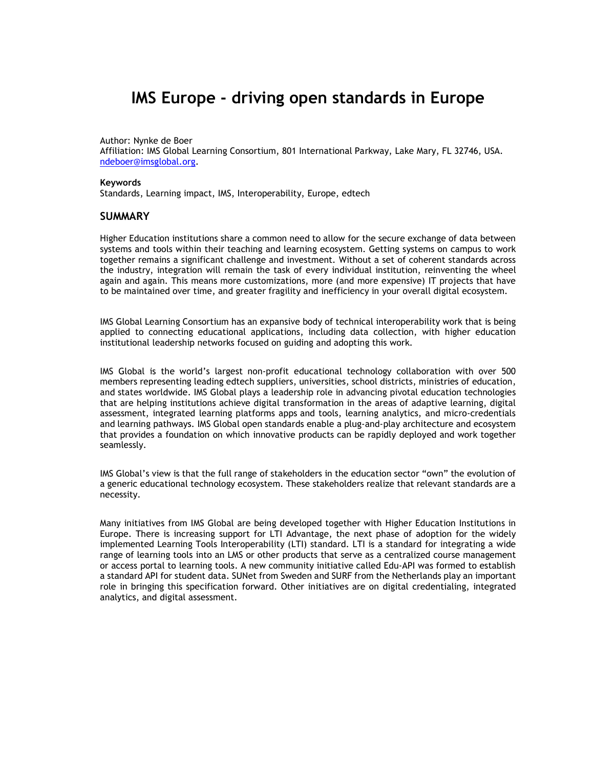# IMS Europe - driving open standards in Europe

Author: Nynke de Boer

Affiliation: IMS Global Learning Consortium, 801 International Parkway, Lake Mary, FL 32746, USA. ndeboer@imsglobal.org.

#### Keywords

Standards, Learning impact, IMS, Interoperability, Europe, edtech

### **SUMMARY**

Higher Education institutions share a common need to allow for the secure exchange of data between systems and tools within their teaching and learning ecosystem. Getting systems on campus to work together remains a significant challenge and investment. Without a set of coherent standards across the industry, integration will remain the task of every individual institution, reinventing the wheel again and again. This means more customizations, more (and more expensive) IT projects that have to be maintained over time, and greater fragility and inefficiency in your overall digital ecosystem.

IMS Global Learning Consortium has an expansive body of technical interoperability work that is being applied to connecting educational applications, including data collection, with higher education institutional leadership networks focused on guiding and adopting this work.

IMS Global is the world's largest non-profit educational technology collaboration with over 500 members representing leading edtech suppliers, universities, school districts, ministries of education, and states worldwide. IMS Global plays a leadership role in advancing pivotal education technologies that are helping institutions achieve digital transformation in the areas of adaptive learning, digital assessment, integrated learning platforms apps and tools, learning analytics, and micro-credentials and learning pathways. IMS Global open standards enable a plug-and-play architecture and ecosystem that provides a foundation on which innovative products can be rapidly deployed and work together seamlessly.

IMS Global's view is that the full range of stakeholders in the education sector "own" the evolution of a generic educational technology ecosystem. These stakeholders realize that relevant standards are a necessity.

Many initiatives from IMS Global are being developed together with Higher Education Institutions in Europe. There is increasing support for LTI Advantage, the next phase of adoption for the widely implemented Learning Tools Interoperability (LTI) standard. LTI is a standard for integrating a wide range of learning tools into an LMS or other products that serve as a centralized course management or access portal to learning tools. A new community initiative called Edu-API was formed to establish a standard API for student data. SUNet from Sweden and SURF from the Netherlands play an important role in bringing this specification forward. Other initiatives are on digital credentialing, integrated analytics, and digital assessment.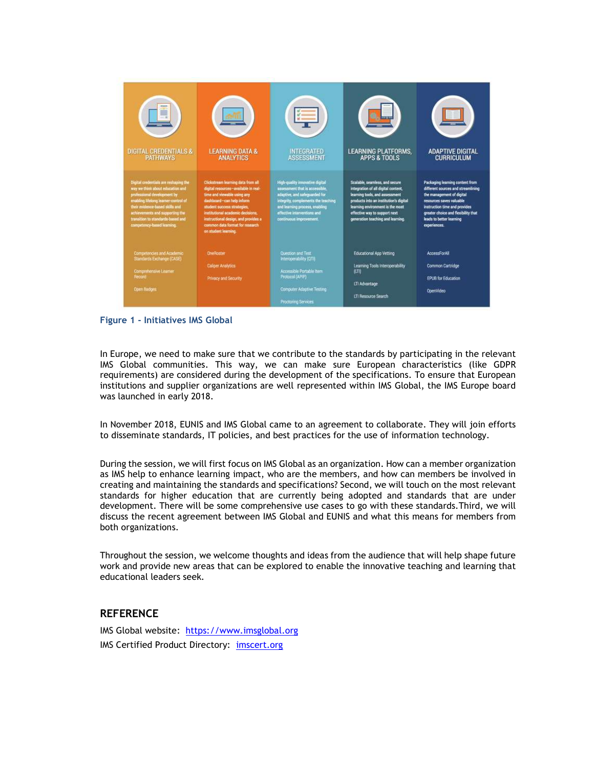

Figure 1 - Initiatives IMS Global

In Europe, we need to make sure that we contribute to the standards by participating in the relevant IMS Global communities. This way, we can make sure European characteristics (like GDPR requirements) are considered during the development of the specifications. To ensure that European institutions and supplier organizations are well represented within IMS Global, the IMS Europe board was launched in early 2018.

In November 2018, EUNIS and IMS Global came to an agreement to collaborate. They will join efforts to disseminate standards, IT policies, and best practices for the use of information technology.

During the session, we will first focus on IMS Global as an organization. How can a member organization as IMS help to enhance learning impact, who are the members, and how can members be involved in creating and maintaining the standards and specifications? Second, we will touch on the most relevant standards for higher education that are currently being adopted and standards that are under development. There will be some comprehensive use cases to go with these standards.Third, we will discuss the recent agreement between IMS Global and EUNIS and what this means for members from both organizations.

Throughout the session, we welcome thoughts and ideas from the audience that will help shape future work and provide new areas that can be explored to enable the innovative teaching and learning that educational leaders seek.

## **REFERENCE**

IMS Global website: https://www.imsglobal.org IMS Certified Product Directory: imscert.org